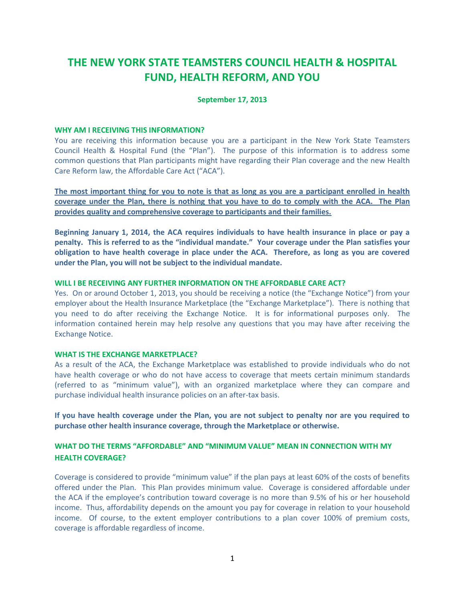# **THE NEW YORK STATE TEAMSTERS COUNCIL HEALTH & HOSPITAL FUND, HEALTH REFORM, AND YOU**

### **September 17, 2013**

#### **WHY AM I RECEIVING THIS INFORMATION?**

You are receiving this information because you are a participant in the New York State Teamsters Council Health & Hospital Fund (the "Plan"). The purpose of this information is to address some common questions that Plan participants might have regarding their Plan coverage and the new Health Care Reform law, the Affordable Care Act ("ACA").

**The most important thing for you to note is that as long as you are a participant enrolled in health coverage under the Plan, there is nothing that you have to do to comply with the ACA. The Plan provides quality and comprehensive coverage to participants and their families.**

**Beginning January 1, 2014, the ACA requires individuals to have health insurance in place or pay a penalty. This is referred to as the "individual mandate." Your coverage under the Plan satisfies your obligation to have health coverage in place under the ACA. Therefore, as long as you are covered under the Plan, you will not be subject to the individual mandate.**

#### **WILL I BE RECEIVING ANY FURTHER INFORMATION ON THE AFFORDABLE CARE ACT?**

Yes. On or around October 1, 2013, you should be receiving a notice (the "Exchange Notice") from your employer about the Health Insurance Marketplace (the "Exchange Marketplace"). There is nothing that you need to do after receiving the Exchange Notice. It is for informational purposes only. The information contained herein may help resolve any questions that you may have after receiving the Exchange Notice.

#### **WHAT IS THE EXCHANGE MARKETPLACE?**

As a result of the ACA, the Exchange Marketplace was established to provide individuals who do not have health coverage or who do not have access to coverage that meets certain minimum standards (referred to as "minimum value"), with an organized marketplace where they can compare and purchase individual health insurance policies on an after-tax basis.

**If you have health coverage under the Plan, you are not subject to penalty nor are you required to purchase other health insurance coverage, through the Marketplace or otherwise.**

# **WHAT DO THE TERMS "AFFORDABLE" AND "MINIMUM VALUE" MEAN IN CONNECTION WITH MY HEALTH COVERAGE?**

Coverage is considered to provide "minimum value" if the plan pays at least 60% of the costs of benefits offered under the Plan. This Plan provides minimum value. Coverage is considered affordable under the ACA if the employee's contribution toward coverage is no more than 9.5% of his or her household income. Thus, affordability depends on the amount you pay for coverage in relation to your household income. Of course, to the extent employer contributions to a plan cover 100% of premium costs, coverage is affordable regardless of income.